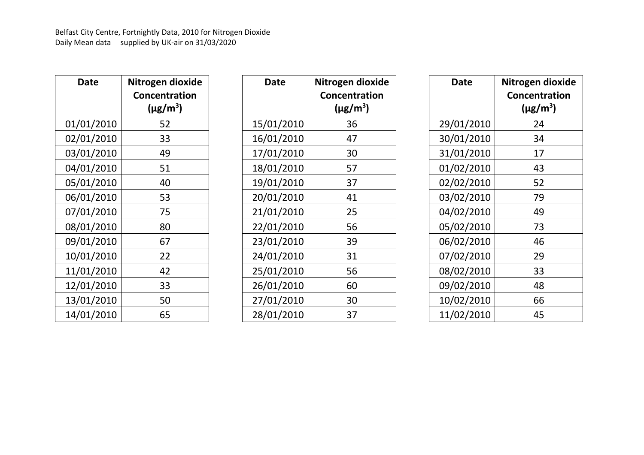| Date       | Nitrogen dioxide<br>Concentration<br>$(\mu$ g/m <sup>3</sup> ) |
|------------|----------------------------------------------------------------|
| 01/01/2010 | 52                                                             |
| 02/01/2010 | 33                                                             |
| 03/01/2010 | 49                                                             |
| 04/01/2010 | 51                                                             |
| 05/01/2010 | 40                                                             |
| 06/01/2010 | 53                                                             |
| 07/01/2010 | 75                                                             |
| 08/01/2010 | 80                                                             |
| 09/01/2010 | 67                                                             |
| 10/01/2010 | 22                                                             |
| 11/01/2010 | 42                                                             |
| 12/01/2010 | 33                                                             |
| 13/01/2010 | 50                                                             |
| 14/01/2010 | 65                                                             |

| Date       | Nitrogen dioxide<br><b>Concentration</b><br>$(\mu$ g/m <sup>3</sup> ) |
|------------|-----------------------------------------------------------------------|
| 15/01/2010 | 36                                                                    |
| 16/01/2010 | 47                                                                    |
| 17/01/2010 | 30                                                                    |
| 18/01/2010 | 57                                                                    |
| 19/01/2010 | 37                                                                    |
| 20/01/2010 | 41                                                                    |
| 21/01/2010 | 25                                                                    |
| 22/01/2010 | 56                                                                    |
| 23/01/2010 | 39                                                                    |
| 24/01/2010 | 31                                                                    |
| 25/01/2010 | 56                                                                    |
| 26/01/2010 | 60                                                                    |
| 27/01/2010 | 30                                                                    |
| 28/01/2010 | 37                                                                    |

| Date       | Nitrogen dioxide<br><b>Concentration</b><br>$(\mu$ g/m <sup>3</sup> ) |
|------------|-----------------------------------------------------------------------|
| 29/01/2010 | 24                                                                    |
| 30/01/2010 | 34                                                                    |
| 31/01/2010 | 17                                                                    |
| 01/02/2010 | 43                                                                    |
| 02/02/2010 | 52                                                                    |
| 03/02/2010 | 79                                                                    |
| 04/02/2010 | 49                                                                    |
| 05/02/2010 | 73                                                                    |
| 06/02/2010 | 46                                                                    |
| 07/02/2010 | 29                                                                    |
| 08/02/2010 | 33                                                                    |
| 09/02/2010 | 48                                                                    |
| 10/02/2010 | 66                                                                    |
| 11/02/2010 | 45                                                                    |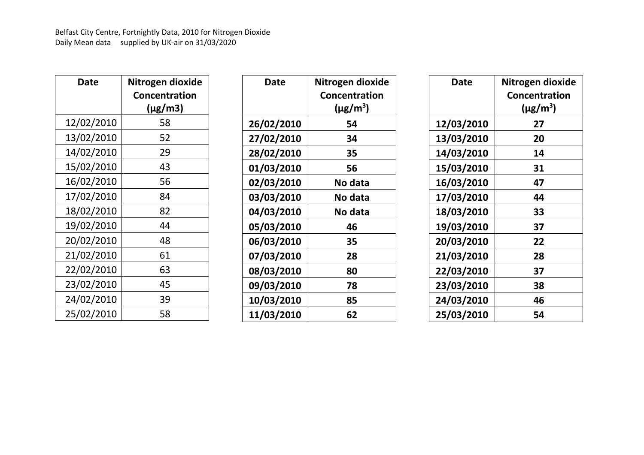| Date       | Nitrogen dioxide<br>Concentration |
|------------|-----------------------------------|
|            | $(\mu$ g/m3)                      |
| 12/02/2010 | 58                                |
| 13/02/2010 | 52                                |
| 14/02/2010 | 29                                |
| 15/02/2010 | 43                                |
| 16/02/2010 | 56                                |
| 17/02/2010 | 84                                |
| 18/02/2010 | 82                                |
| 19/02/2010 | 44                                |
| 20/02/2010 | 48                                |
| 21/02/2010 | 61                                |
| 22/02/2010 | 63                                |
| 23/02/2010 | 45                                |
| 24/02/2010 | 39                                |
| 25/02/2010 | 58                                |

| Date              | Nitrogen dioxide          |
|-------------------|---------------------------|
|                   | <b>Concentration</b>      |
|                   | $(\mu$ g/m <sup>3</sup> ) |
| 26/02/2010        | 54                        |
| <b>27/02/2010</b> | 34                        |
| 28/02/2010        | 35                        |
| 01/03/2010        | 56                        |
| 02/03/2010        | No data                   |
| 03/03/2010        | No data                   |
| 04/03/2010        | No data                   |
| 05/03/2010        | 46                        |
| 06/03/2010        | 35                        |
| 07/03/2010        | 28                        |
| 08/03/2010        | 80                        |
| 09/03/2010        | 78                        |
| <b>10/03/2010</b> | 85                        |
| 11/03/2010        | 62                        |

| Date       | Nitrogen dioxide          |
|------------|---------------------------|
|            | Concentration             |
|            | $(\mu$ g/m <sup>3</sup> ) |
| 12/03/2010 | 27                        |
| 13/03/2010 | 20                        |
| 14/03/2010 | 14                        |
| 15/03/2010 | 31                        |
| 16/03/2010 | 47                        |
| 17/03/2010 | 44                        |
| 18/03/2010 | 33                        |
| 19/03/2010 | 37                        |
| 20/03/2010 | 22                        |
| 21/03/2010 | 28                        |
| 22/03/2010 | 37                        |
| 23/03/2010 | 38                        |
| 24/03/2010 | 46                        |
| 25/03/2010 | 54                        |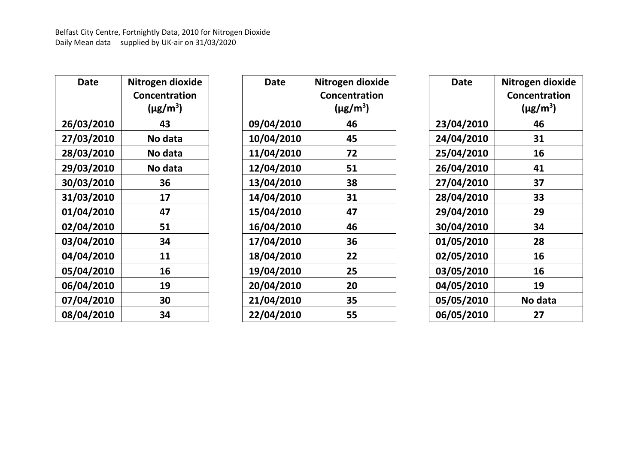| Date       | Nitrogen dioxide          |
|------------|---------------------------|
|            | Concentration             |
|            | $(\mu$ g/m <sup>3</sup> ) |
| 26/03/2010 | 43                        |
| 27/03/2010 | No data                   |
| 28/03/2010 | No data                   |
| 29/03/2010 | No data                   |
| 30/03/2010 | 36                        |
| 31/03/2010 | 17                        |
| 01/04/2010 | 47                        |
| 02/04/2010 | 51                        |
| 03/04/2010 | 34                        |
| 04/04/2010 | 11                        |
| 05/04/2010 | 16                        |
| 06/04/2010 | 19                        |
| 07/04/2010 | 30                        |
| 08/04/2010 | 34                        |

| Date              | Nitrogen dioxide          |
|-------------------|---------------------------|
|                   | <b>Concentration</b>      |
|                   | $(\mu$ g/m <sup>3</sup> ) |
| 09/04/2010        | 46                        |
| <b>10/04/2010</b> | 45                        |
| <b>11/04/2010</b> | 72                        |
| <b>12/04/2010</b> | 51                        |
| 13/04/2010        | 38                        |
| <b>14/04/2010</b> | 31                        |
| <b>15/04/2010</b> | 47                        |
| <b>16/04/2010</b> | 46                        |
| 17/04/2010        | 36                        |
| <b>18/04/2010</b> | 22                        |
| <b>19/04/2010</b> | 25                        |
| 20/04/2010        | 20                        |
| 21/04/2010        | 35                        |
| 22/04/2010        | 55                        |

| Date       | Nitrogen dioxide          |
|------------|---------------------------|
|            | <b>Concentration</b>      |
|            | $(\mu$ g/m <sup>3</sup> ) |
| 23/04/2010 | 46                        |
| 24/04/2010 | 31                        |
| 25/04/2010 | 16                        |
| 26/04/2010 | 41                        |
| 27/04/2010 | 37                        |
| 28/04/2010 | 33                        |
| 29/04/2010 | 29                        |
| 30/04/2010 | 34                        |
| 01/05/2010 | 28                        |
| 02/05/2010 | 16                        |
| 03/05/2010 | 16                        |
| 04/05/2010 | 19                        |
| 05/05/2010 | No data                   |
| 06/05/2010 | 27                        |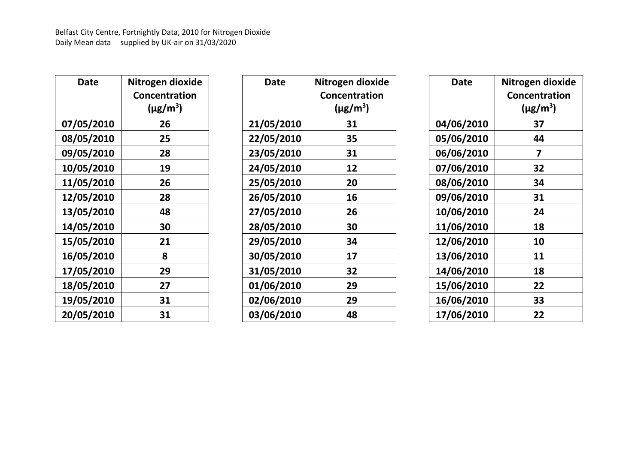| Date              | Nitrogen dioxide          |
|-------------------|---------------------------|
|                   | Concentration             |
|                   | $(\mu$ g/m <sup>3</sup> ) |
| 07/05/2010        | 26                        |
| 08/05/2010        | 25                        |
| 09/05/2010        | 28                        |
| <b>10/05/2010</b> | 19                        |
| <b>11/05/2010</b> | 26                        |
| <b>12/05/2010</b> | 28                        |
| <b>13/05/2010</b> | 48                        |
| <b>14/05/2010</b> | 30                        |
| <b>15/05/2010</b> | 21                        |
| <b>16/05/2010</b> | 8                         |
| <b>17/05/2010</b> | 29                        |
| <b>18/05/2010</b> | 27                        |
| <b>19/05/2010</b> | 31                        |
| 20/05/2010        | 31                        |

| Date       | Nitrogen dioxide          |
|------------|---------------------------|
|            | <b>Concentration</b>      |
|            | $(\mu$ g/m <sup>3</sup> ) |
| 21/05/2010 | 31                        |
| 22/05/2010 | 35                        |
| 23/05/2010 | 31                        |
| 24/05/2010 | 12                        |
| 25/05/2010 | 20                        |
| 26/05/2010 | 16                        |
| 27/05/2010 | 26                        |
| 28/05/2010 | 30                        |
| 29/05/2010 | 34                        |
| 30/05/2010 | 17                        |
| 31/05/2010 | 32                        |
| 01/06/2010 | 29                        |
| 02/06/2010 | 29                        |
| 03/06/2010 | 48                        |

| Date              | Nitrogen dioxide          |
|-------------------|---------------------------|
|                   | <b>Concentration</b>      |
|                   | $(\mu$ g/m <sup>3</sup> ) |
| <b>04/06/2010</b> | 37                        |
| 05/06/2010        | 44                        |
| 06/06/2010        | 7                         |
| <b>07/06/2010</b> | 32                        |
| 08/06/2010        | 34                        |
| 09/06/2010        | 31                        |
| 10/06/2010        | 24                        |
| 11/06/2010        | 18                        |
| 12/06/2010        | 10                        |
| 13/06/2010        | 11                        |
| 14/06/2010        | 18                        |
| 15/06/2010        | 22                        |
| 16/06/2010        | 33                        |
| 17/06/2010        | 22                        |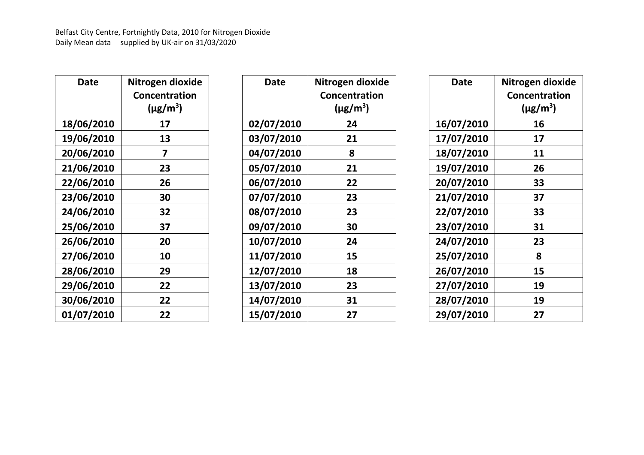| Date              | Nitrogen dioxide          |
|-------------------|---------------------------|
|                   | Concentration             |
|                   | $(\mu$ g/m <sup>3</sup> ) |
| 18/06/2010        | 17                        |
| <b>19/06/2010</b> | 13                        |
| 20/06/2010        | 7                         |
| 21/06/2010        | 23                        |
| 22/06/2010        | 26                        |
| 23/06/2010        | 30                        |
| 24/06/2010        | 32                        |
| 25/06/2010        | 37                        |
| 26/06/2010        | 20                        |
| 27/06/2010        | 10                        |
| 28/06/2010        | 29                        |
| 29/06/2010        | 22                        |
| 30/06/2010        | 22                        |
| 01/07/2010        | 22                        |

| Date              | Nitrogen dioxide          |
|-------------------|---------------------------|
|                   | <b>Concentration</b>      |
|                   | $(\mu$ g/m <sup>3</sup> ) |
| 02/07/2010        | 24                        |
| 03/07/2010        | 21                        |
| 04/07/2010        | 8                         |
| 05/07/2010        | 21                        |
| 06/07/2010        | 22                        |
| 07/07/2010        | 23                        |
| 08/07/2010        | 23                        |
| 09/07/2010        | 30                        |
| <b>10/07/2010</b> | 24                        |
| <b>11/07/2010</b> | 15                        |
| <b>12/07/2010</b> | 18                        |
| <b>13/07/2010</b> | 23                        |
| <b>14/07/2010</b> | 31                        |
| 15/07/2010        | 27                        |

| Date              | Nitrogen dioxide     |
|-------------------|----------------------|
|                   | <b>Concentration</b> |
|                   | $(\mu g/m^3)$        |
| 16/07/2010        | 16                   |
| <b>17/07/2010</b> | 17                   |
| 18/07/2010        | 11                   |
| 19/07/2010        | 26                   |
| 20/07/2010        | 33                   |
| 21/07/2010        | 37                   |
| 22/07/2010        | 33                   |
| 23/07/2010        | 31                   |
| 24/07/2010        | 23                   |
| 25/07/2010        | Զ                    |
| 26/07/2010        | 15                   |
| 27/07/2010        | 19                   |
| 28/07/2010        | 19                   |
| 29/07/2010        | 27                   |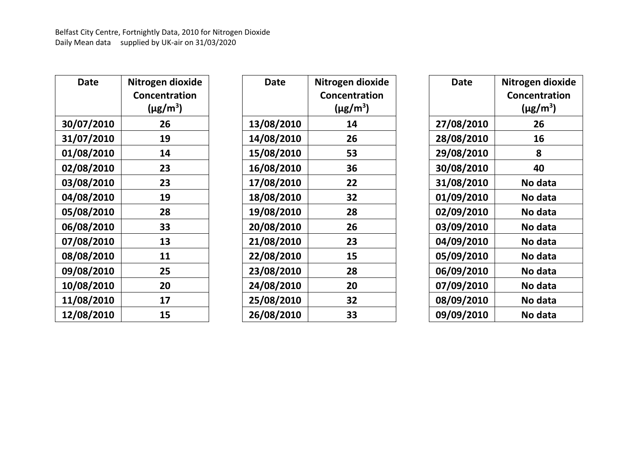| Date              | Nitrogen dioxide          |
|-------------------|---------------------------|
|                   | Concentration             |
|                   | $(\mu$ g/m <sup>3</sup> ) |
| 30/07/2010        | 26                        |
| 31/07/2010        | 19                        |
| 01/08/2010        | 14                        |
| 02/08/2010        | 23                        |
| 03/08/2010        | 23                        |
| 04/08/2010        | 19                        |
| 05/08/2010        | 28                        |
| 06/08/2010        | 33                        |
| 07/08/2010        | 13                        |
| 08/08/2010        | 11                        |
| 09/08/2010        | 25                        |
| <b>10/08/2010</b> | 20                        |
| <b>11/08/2010</b> | 17                        |
| <b>12/08/2010</b> | 15                        |

| Date              | Nitrogen dioxide          |
|-------------------|---------------------------|
|                   | <b>Concentration</b>      |
|                   | $(\mu$ g/m <sup>3</sup> ) |
| <b>13/08/2010</b> | 14                        |
| <b>14/08/2010</b> | 26                        |
| 15/08/2010        | 53                        |
| <b>16/08/2010</b> | 36                        |
| 17/08/2010        | 22                        |
| <b>18/08/2010</b> | 32                        |
| 19/08/2010        | 28                        |
| 20/08/2010        | 26                        |
| 21/08/2010        | 23                        |
| 22/08/2010        | 15                        |
| 23/08/2010        | 28                        |
| 24/08/2010        | 20                        |
| 25/08/2010        | 32                        |
| 26/08/2010        | 33                        |

| Date              | Nitrogen dioxide          |
|-------------------|---------------------------|
|                   | <b>Concentration</b>      |
|                   | $(\mu$ g/m <sup>3</sup> ) |
| <b>27/08/2010</b> | 26                        |
| 28/08/2010        | 16                        |
| 29/08/2010        | 8                         |
| 30/08/2010        | 40                        |
| <b>31/08/2010</b> | No data                   |
| <b>01/09/2010</b> | No data                   |
| <b>02/09/2010</b> | No data                   |
| 03/09/2010        | No data                   |
| 04/09/2010        | No data                   |
| 05/09/2010        | No data                   |
| 06/09/2010        | No data                   |
| 07/09/2010        | No data                   |
| 08/09/2010        | No data                   |
| 09/09/2010        | No data                   |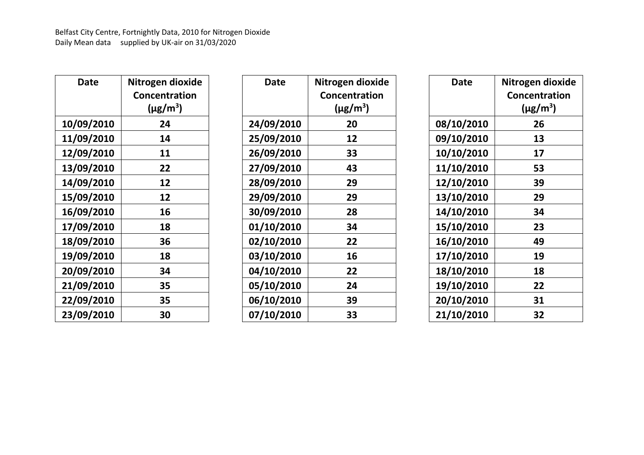| Date              | Nitrogen dioxide          |
|-------------------|---------------------------|
|                   | Concentration             |
|                   | $(\mu$ g/m <sup>3</sup> ) |
| <b>10/09/2010</b> | 24                        |
| <b>11/09/2010</b> | 14                        |
| <b>12/09/2010</b> | 11                        |
| <b>13/09/2010</b> | 22                        |
| <b>14/09/2010</b> | 12                        |
| 15/09/2010        | 12                        |
| 16/09/2010        | 16                        |
| <b>17/09/2010</b> | 18                        |
| 18/09/2010        | 36                        |
| <b>19/09/2010</b> | 18                        |
| 20/09/2010        | 34                        |
| 21/09/2010        | 35                        |
| 22/09/2010        | 35                        |
| 23/09/2010        | 30                        |

| Date              | Nitrogen dioxide          |
|-------------------|---------------------------|
|                   | <b>Concentration</b>      |
|                   | $(\mu$ g/m <sup>3</sup> ) |
| 24/09/2010        | 20                        |
| 25/09/2010        | 12                        |
| 26/09/2010        | 33                        |
| 27/09/2010        | 43                        |
| 28/09/2010        | 29                        |
| 29/09/2010        | 29                        |
| 30/09/2010        | 28                        |
| 01/10/2010        | 34                        |
| 02/10/2010        | 22                        |
| <b>03/10/2010</b> | 16                        |
| 04/10/2010        | 22                        |
| <b>05/10/2010</b> | 24                        |
| 06/10/2010        | 39                        |
| 07/10/2010        | 33                        |

| Date              | Nitrogen dioxide          |
|-------------------|---------------------------|
|                   | <b>Concentration</b>      |
|                   | $(\mu$ g/m <sup>3</sup> ) |
| 08/10/2010        | 26                        |
| <b>09/10/2010</b> | 13                        |
| 10/10/2010        | 17                        |
| 11/10/2010        | 53                        |
| 12/10/2010        | 39                        |
| 13/10/2010        | 29                        |
| 14/10/2010        | 34                        |
| 15/10/2010        | 23                        |
| 16/10/2010        | 49                        |
| 17/10/2010        | 19                        |
| 18/10/2010        | 18                        |
| 19/10/2010        | 22                        |
| 20/10/2010        | 31                        |
| 21/10/2010        | 32                        |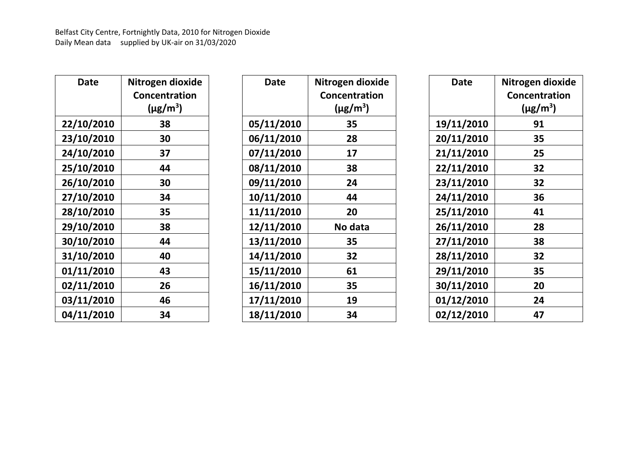| Date              | Nitrogen dioxide          |
|-------------------|---------------------------|
|                   | Concentration             |
|                   | $(\mu$ g/m <sup>3</sup> ) |
| <b>22/10/2010</b> | 38                        |
| 23/10/2010        | 30                        |
| 24/10/2010        | 37                        |
| 25/10/2010        | 44                        |
| 26/10/2010        | 30                        |
| 27/10/2010        | 34                        |
| 28/10/2010        | 35                        |
| 29/10/2010        | 38                        |
| 30/10/2010        | 44                        |
| 31/10/2010        | 40                        |
| <b>01/11/2010</b> | 43                        |
| 02/11/2010        | 26                        |
| <b>03/11/2010</b> | 46                        |
| <b>04/11/2010</b> | 34                        |

| Date              | Nitrogen dioxide          |
|-------------------|---------------------------|
|                   | <b>Concentration</b>      |
|                   | $(\mu$ g/m <sup>3</sup> ) |
| 05/11/2010        | 35                        |
| 06/11/2010        | 28                        |
| 07/11/2010        | 17                        |
| 08/11/2010        | 38                        |
| 09/11/2010        | 24                        |
| <b>10/11/2010</b> | 44                        |
| <b>11/11/2010</b> | 20                        |
| 12/11/2010        | No data                   |
| <b>13/11/2010</b> | 35                        |
| <b>14/11/2010</b> | 32                        |
| <b>15/11/2010</b> | 61                        |
| 16/11/2010        | 35                        |
| <b>17/11/2010</b> | 19                        |
| <b>18/11/2010</b> | 34                        |

| Date              | Nitrogen dioxide          |
|-------------------|---------------------------|
|                   | <b>Concentration</b>      |
|                   | $(\mu$ g/m <sup>3</sup> ) |
| 19/11/2010        | 91                        |
| 20/11/2010        | 35                        |
| 21/11/2010        | 25                        |
| 22/11/2010        | 32                        |
| 23/11/2010        | 32                        |
| 24/11/2010        | 36                        |
| 25/11/2010        | 41                        |
| 26/11/2010        | 28                        |
| 27/11/2010        | 38                        |
| 28/11/2010        | 32                        |
| 29/11/2010        | 35                        |
| 30/11/2010        | 20                        |
| 01/12/2010        | 24                        |
| <b>02/12/2010</b> | 47                        |